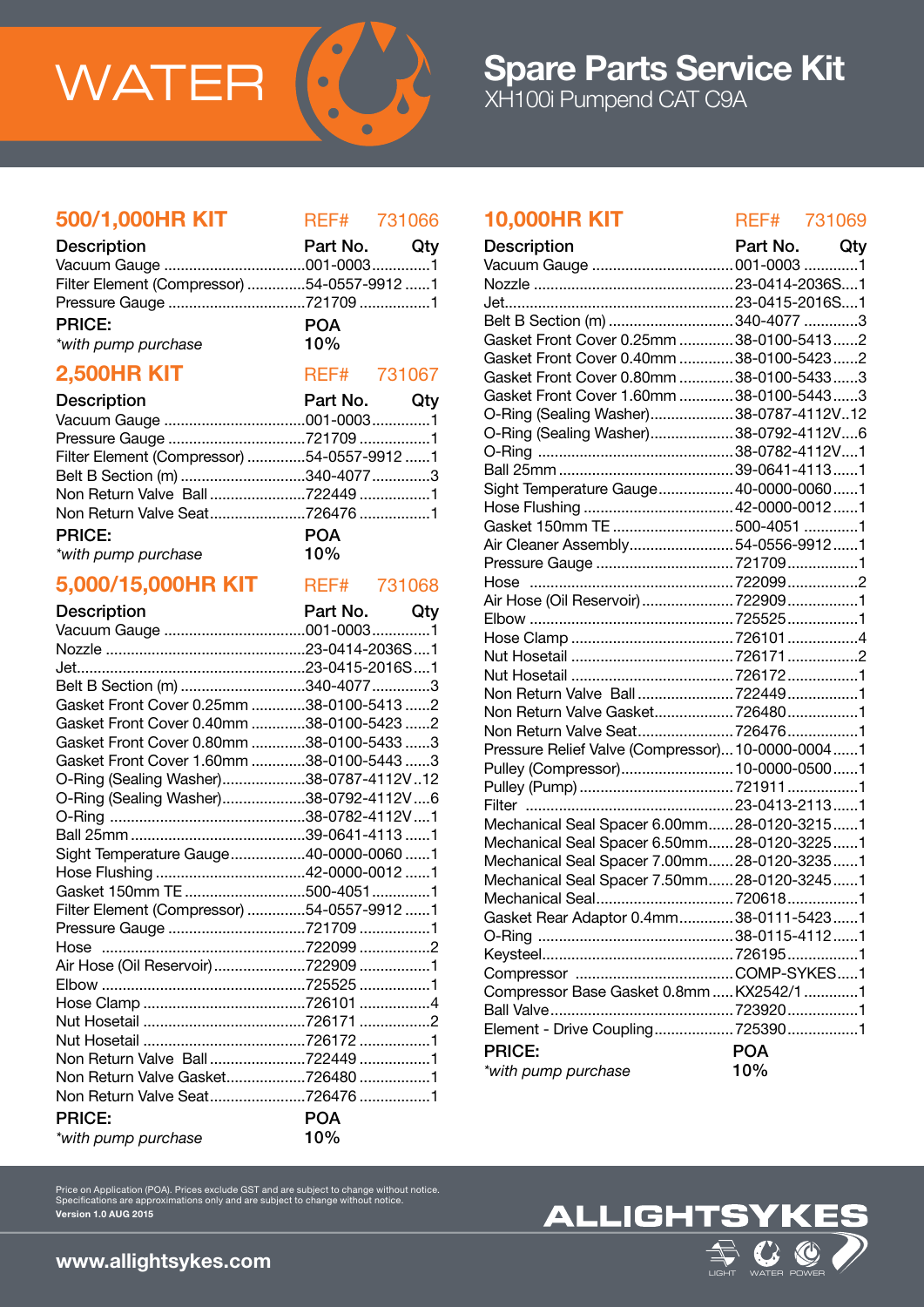

### 500/1,000HR KIT REF# 731066

| <b>Description</b>                         | Part No. Qty |  |
|--------------------------------------------|--------------|--|
|                                            |              |  |
| Filter Element (Compressor) 54-0557-9912 1 |              |  |
|                                            |              |  |
| <b>PRICE:</b>                              | <b>POA</b>   |  |
| *with pump purchase                        | 10%          |  |

### **2,500HR KIT** REF# 731067

| <b>Description</b>                         | Part No. Qty |  |
|--------------------------------------------|--------------|--|
|                                            |              |  |
|                                            |              |  |
| Filter Element (Compressor) 54-0557-9912 1 |              |  |
| Belt B Section (m) 340-4077 3              |              |  |
|                                            |              |  |
|                                            |              |  |
| <b>PRICE:</b>                              | <b>POA</b>   |  |
| $10\%$<br>*with pump purchase              |              |  |

### 5,000/15,000HR KIT REF# 731068

| <b>Description</b>                         | Part No. Qty |  |
|--------------------------------------------|--------------|--|
|                                            |              |  |
|                                            |              |  |
|                                            |              |  |
| Belt B Section (m) 340-4077 3              |              |  |
| Gasket Front Cover 0.25mm 38-0100-5413 2   |              |  |
| Gasket Front Cover 0.40mm 38-0100-5423 2   |              |  |
| Gasket Front Cover 0.80mm 38-0100-5433 3   |              |  |
| Gasket Front Cover 1.60mm 38-0100-5443 3   |              |  |
| O-Ring (Sealing Washer)38-0787-4112V12     |              |  |
| O-Ring (Sealing Washer)38-0792-4112V6      |              |  |
|                                            |              |  |
|                                            |              |  |
| Sight Temperature Gauge40-0000-0060 1      |              |  |
| Hose Flushing 42-0000-0012 1               |              |  |
| Gasket 150mm TE 500-40511                  |              |  |
| Filter Element (Compressor) 54-0557-9912 1 |              |  |
| Pressure Gauge 721709 1                    |              |  |
|                                            |              |  |
| Air Hose (Oil Reservoir) 722909 1          |              |  |
|                                            |              |  |
|                                            |              |  |
|                                            |              |  |
|                                            |              |  |
|                                            |              |  |
| Non Return Valve Gasket7264801             |              |  |
|                                            |              |  |
| <b>PRICE:</b>                              | <b>POA</b>   |  |
| *with pump purchase                        | 10%          |  |
|                                            |              |  |

# 10,000HR KIT REF# 731069

| <b>Description</b>                               | Part No. Qty |  |
|--------------------------------------------------|--------------|--|
| Vacuum Gauge  001-0003 1                         |              |  |
|                                                  |              |  |
|                                                  |              |  |
| Belt B Section (m) 340-4077 3                    |              |  |
| Gasket Front Cover 0.25mm  38-0100-5413 2        |              |  |
| Gasket Front Cover 0.40mm  38-0100-5423 2        |              |  |
| Gasket Front Cover 0.80mm  38-0100-5433 3        |              |  |
| Gasket Front Cover 1.60mm  38-0100-5443 3        |              |  |
| O-Ring (Sealing Washer)38-0787-4112V12           |              |  |
| O-Ring (Sealing Washer)38-0792-4112V6            |              |  |
|                                                  |              |  |
|                                                  |              |  |
| Sight Temperature Gauge 40-0000-00601            |              |  |
|                                                  |              |  |
| Gasket 150mm TE 500-4051 1                       |              |  |
| Air Cleaner Assembly54-0556-99121                |              |  |
| Pressure Gauge 721709 1                          |              |  |
|                                                  |              |  |
| Air Hose (Oil Reservoir)  722909 1               |              |  |
|                                                  |              |  |
|                                                  |              |  |
|                                                  |              |  |
|                                                  |              |  |
|                                                  |              |  |
| Non Return Valve Gasket7264801                   |              |  |
|                                                  |              |  |
| Pressure Relief Valve (Compressor) 10-0000-00041 |              |  |
| Pulley (Compressor) 10-0000-05001                |              |  |
|                                                  |              |  |
|                                                  |              |  |
| Mechanical Seal Spacer 6.00mm28-0120-32151       |              |  |
| Mechanical Seal Spacer 6.50mm 28-0120-32251      |              |  |
| Mechanical Seal Spacer 7.00mm 28-0120-32351      |              |  |
| Mechanical Seal Spacer 7.50mm 28-0120-32451      |              |  |
| Mechanical Seal7206181                           |              |  |
| Gasket Rear Adaptor 0.4mm38-0111-54231           |              |  |
|                                                  |              |  |
|                                                  |              |  |
|                                                  |              |  |
| Compressor Base Gasket 0.8mm  KX2542/1 1         |              |  |
|                                                  |              |  |
| Element - Drive Coupling 7253901                 |              |  |
| <b>PRICE:</b>                                    | <b>POA</b>   |  |
| *with pump purchase                              | 10%          |  |
|                                                  |              |  |

Price on Application (POA). Prices exclude GST and are subject to change without notice. Specifications are approximations only and are subject to change without notice. Version 1.0 AUG 2015